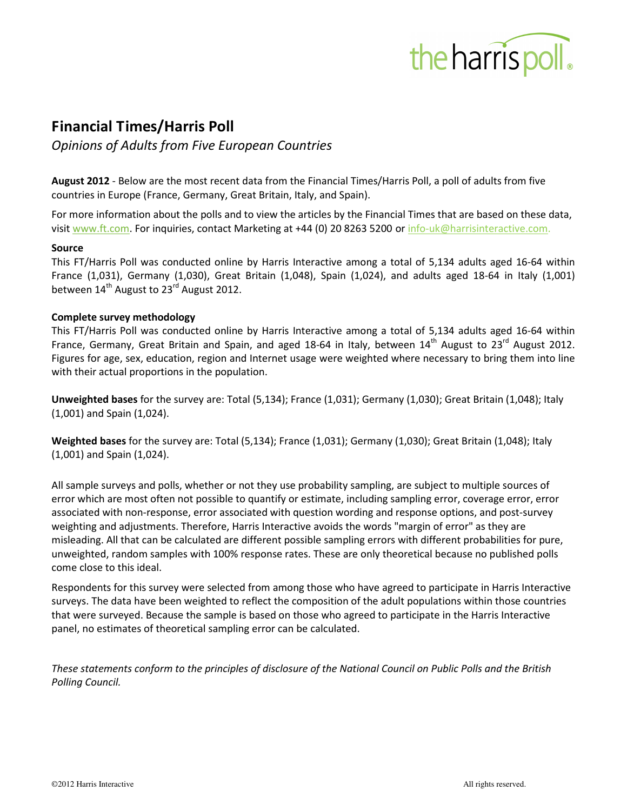

# **Financial Times/Harris Poll**

*Opinions of Adults from Five European Countries* 

**August 2012** - Below are the most recent data from the Financial Times/Harris Poll, a poll of adults from five countries in Europe (France, Germany, Great Britain, Italy, and Spain).

For more information about the polls and to view the articles by the Financial Times that are based on these data, visit www.ft.com. For inquiries, contact Marketing at +44 (0) 20 8263 5200 or info-uk@harrisinteractive.com.

### **Source**

This FT/Harris Poll was conducted online by Harris Interactive among a total of 5,134 adults aged 16-64 within France (1,031), Germany (1,030), Great Britain (1,048), Spain (1,024), and adults aged 18-64 in Italy (1,001) between  $14<sup>th</sup>$  August to 23<sup>rd</sup> August 2012.

### **Complete survey methodology**

This FT/Harris Poll was conducted online by Harris Interactive among a total of 5,134 adults aged 16-64 within France, Germany, Great Britain and Spain, and aged 18-64 in Italy, between  $14<sup>th</sup>$  August to 23<sup>rd</sup> August 2012. Figures for age, sex, education, region and Internet usage were weighted where necessary to bring them into line with their actual proportions in the population.

**Unweighted bases** for the survey are: Total (5,134); France (1,031); Germany (1,030); Great Britain (1,048); Italy (1,001) and Spain (1,024).

**Weighted bases** for the survey are: Total (5,134); France (1,031); Germany (1,030); Great Britain (1,048); Italy (1,001) and Spain (1,024).

All sample surveys and polls, whether or not they use probability sampling, are subject to multiple sources of error which are most often not possible to quantify or estimate, including sampling error, coverage error, error associated with non-response, error associated with question wording and response options, and post-survey weighting and adjustments. Therefore, Harris Interactive avoids the words "margin of error" as they are misleading. All that can be calculated are different possible sampling errors with different probabilities for pure, unweighted, random samples with 100% response rates. These are only theoretical because no published polls come close to this ideal.

Respondents for this survey were selected from among those who have agreed to participate in Harris Interactive surveys. The data have been weighted to reflect the composition of the adult populations within those countries that were surveyed. Because the sample is based on those who agreed to participate in the Harris Interactive panel, no estimates of theoretical sampling error can be calculated.

*These statements conform to the principles of disclosure of the National Council on Public Polls and the British Polling Council.*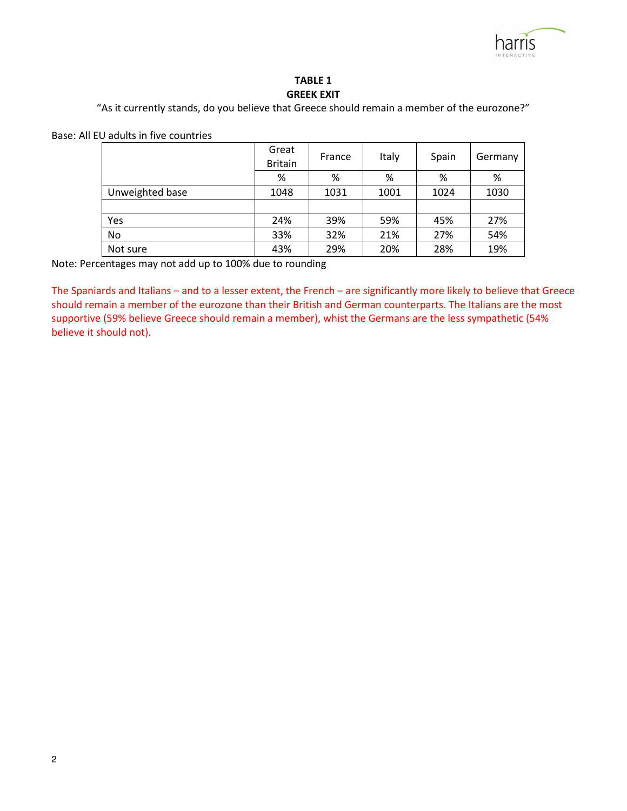

### **TABLE 1 GREEK EXIT**

"As it currently stands, do you believe that Greece should remain a member of the eurozone?"

Base: All EU adults in five countries

|                 | Great<br><b>Britain</b> | France | Italy | Spain | Germany |
|-----------------|-------------------------|--------|-------|-------|---------|
|                 | %                       | %      | %     | %     | %       |
| Unweighted base | 1048                    | 1031   | 1001  | 1024  | 1030    |
|                 |                         |        |       |       |         |
| Yes             | 24%                     | 39%    | 59%   | 45%   | 27%     |
| <b>No</b>       | 33%                     | 32%    | 21%   | 27%   | 54%     |
| Not sure        | 43%                     | 29%    | 20%   | 28%   | 19%     |

Note: Percentages may not add up to 100% due to rounding

The Spaniards and Italians – and to a lesser extent, the French – are significantly more likely to believe that Greece should remain a member of the eurozone than their British and German counterparts. The Italians are the most supportive (59% believe Greece should remain a member), whist the Germans are the less sympathetic (54% believe it should not).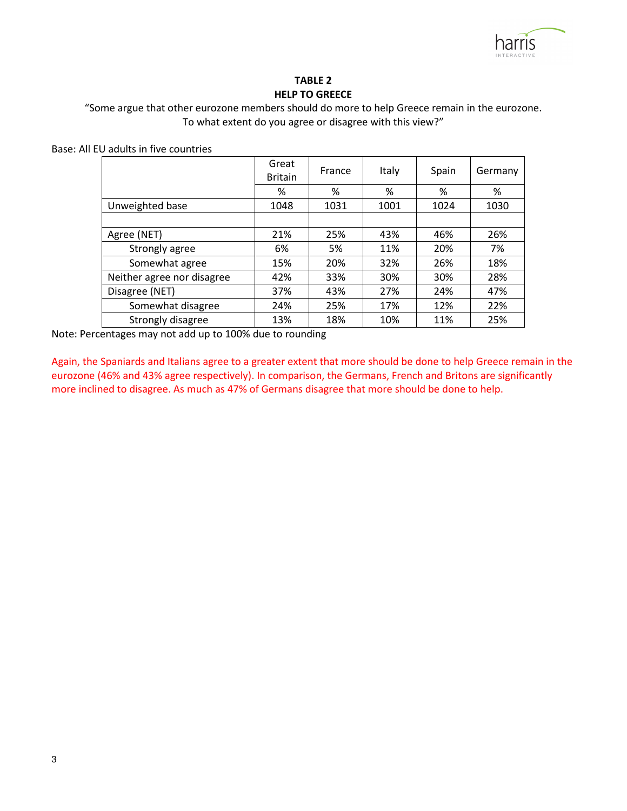

### **TABLE 2 HELP TO GREECE**

"Some argue that other eurozone members should do more to help Greece remain in the eurozone. To what extent do you agree or disagree with this view?"

Base: All EU adults in five countries

|                            | Great<br><b>Britain</b> | France | <b>Italy</b> | Spain | Germany |
|----------------------------|-------------------------|--------|--------------|-------|---------|
|                            | %                       | %      | %            | %     | %       |
| Unweighted base            | 1048                    | 1031   | 1001         | 1024  | 1030    |
|                            |                         |        |              |       |         |
| Agree (NET)                | 21%                     | 25%    | 43%          | 46%   | 26%     |
| Strongly agree             | 6%                      | 5%     | 11%          | 20%   | 7%      |
| Somewhat agree             | 15%                     | 20%    | 32%          | 26%   | 18%     |
| Neither agree nor disagree | 42%                     | 33%    | 30%          | 30%   | 28%     |
| Disagree (NET)             | 37%                     | 43%    | 27%          | 24%   | 47%     |
| Somewhat disagree          | 24%                     | 25%    | 17%          | 12%   | 22%     |
| Strongly disagree          | 13%                     | 18%    | 10%          | 11%   | 25%     |

Note: Percentages may not add up to 100% due to rounding

Again, the Spaniards and Italians agree to a greater extent that more should be done to help Greece remain in the eurozone (46% and 43% agree respectively). In comparison, the Germans, French and Britons are significantly more inclined to disagree. As much as 47% of Germans disagree that more should be done to help.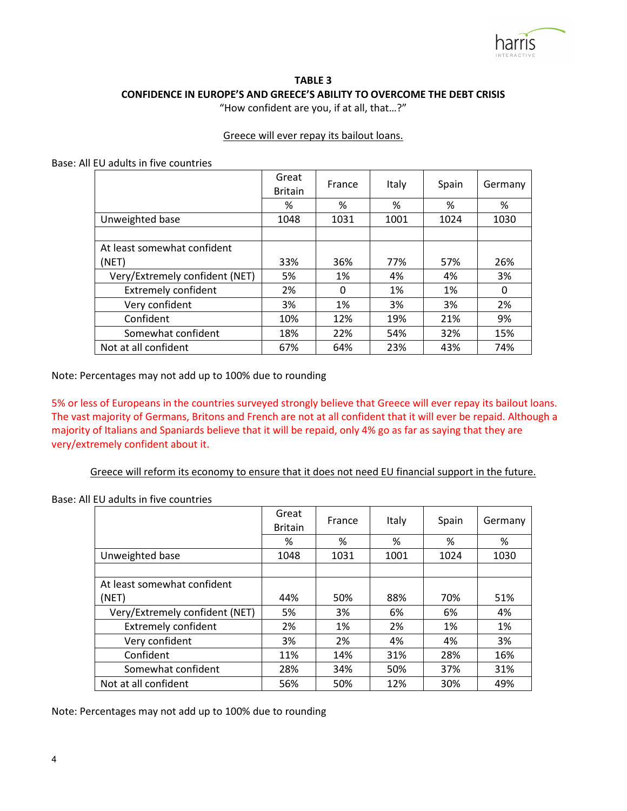

## **TABLE 3 CONFIDENCE IN EUROPE'S AND GREECE'S ABILITY TO OVERCOME THE DEBT CRISIS**

"How confident are you, if at all, that…?"

### Greece will ever repay its bailout loans.

Base: All EU adults in five countries

|                                | Great<br><b>Britain</b> | France | Italy | Spain | Germany |
|--------------------------------|-------------------------|--------|-------|-------|---------|
|                                | %                       | %      | %     | %     | %       |
| Unweighted base                | 1048                    | 1031   | 1001  | 1024  | 1030    |
|                                |                         |        |       |       |         |
| At least somewhat confident    |                         |        |       |       |         |
| (NET)                          | 33%                     | 36%    | 77%   | 57%   | 26%     |
| Very/Extremely confident (NET) | 5%                      | 1%     | 4%    | 4%    | 3%      |
| <b>Extremely confident</b>     | 2%                      | 0      | 1%    | 1%    | 0       |
| Very confident                 | 3%                      | 1%     | 3%    | 3%    | 2%      |
| Confident                      | 10%                     | 12%    | 19%   | 21%   | 9%      |
| Somewhat confident             | 18%                     | 22%    | 54%   | 32%   | 15%     |
| Not at all confident           | 67%                     | 64%    | 23%   | 43%   | 74%     |

Note: Percentages may not add up to 100% due to rounding

5% or less of Europeans in the countries surveyed strongly believe that Greece will ever repay its bailout loans. The vast majority of Germans, Britons and French are not at all confident that it will ever be repaid. Although a majority of Italians and Spaniards believe that it will be repaid, only 4% go as far as saying that they are very/extremely confident about it.

Greece will reform its economy to ensure that it does not need EU financial support in the future.

Base: All EU adults in five countries

|                                | Great<br><b>Britain</b> | France | Italy | Spain | Germany |
|--------------------------------|-------------------------|--------|-------|-------|---------|
|                                | %                       | %      | %     | %     | %       |
| Unweighted base                | 1048                    | 1031   | 1001  | 1024  | 1030    |
|                                |                         |        |       |       |         |
| At least somewhat confident    |                         |        |       |       |         |
| (NET)                          | 44%                     | 50%    | 88%   | 70%   | 51%     |
| Very/Extremely confident (NET) | 5%                      | 3%     | 6%    | 6%    | 4%      |
| <b>Extremely confident</b>     | 2%                      | 1%     | 2%    | 1%    | 1%      |
| Very confident                 | 3%                      | 2%     | 4%    | 4%    | 3%      |
| Confident                      | 11%                     | 14%    | 31%   | 28%   | 16%     |
| Somewhat confident             | 28%                     | 34%    | 50%   | 37%   | 31%     |
| Not at all confident           | 56%                     | 50%    | 12%   | 30%   | 49%     |

Note: Percentages may not add up to 100% due to rounding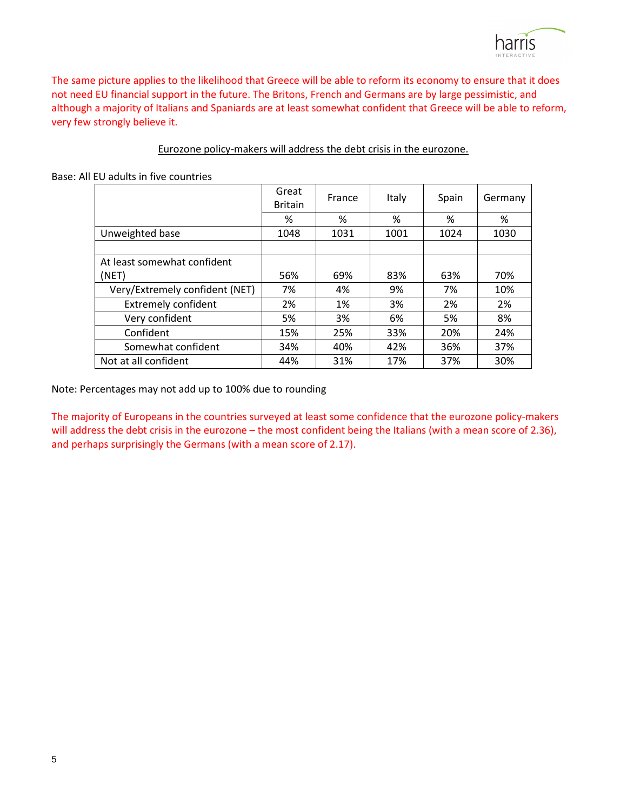The same picture applies to the likelihood that Greece will be able to reform its economy to ensure that it does not need EU financial support in the future. The Britons, French and Germans are by large pessimistic, and although a majority of Italians and Spaniards are at least somewhat confident that Greece will be able to reform, very few strongly believe it.

### Eurozone policy-makers will address the debt crisis in the eurozone.

Base: All EU adults in five countries

|                                | Great<br><b>Britain</b> | France | Italy | Spain | Germany |
|--------------------------------|-------------------------|--------|-------|-------|---------|
|                                | %                       | %      | %     | %     | %       |
| Unweighted base                | 1048                    | 1031   | 1001  | 1024  | 1030    |
|                                |                         |        |       |       |         |
| At least somewhat confident    |                         |        |       |       |         |
| (NET)                          | 56%                     | 69%    | 83%   | 63%   | 70%     |
| Very/Extremely confident (NET) | 7%                      | 4%     | 9%    | 7%    | 10%     |
| <b>Extremely confident</b>     | 2%                      | 1%     | 3%    | 2%    | 2%      |
| Very confident                 | 5%                      | 3%     | 6%    | 5%    | 8%      |
| Confident                      | 15%                     | 25%    | 33%   | 20%   | 24%     |
| Somewhat confident             | 34%                     | 40%    | 42%   | 36%   | 37%     |
| Not at all confident           | 44%                     | 31%    | 17%   | 37%   | 30%     |

Note: Percentages may not add up to 100% due to rounding

The majority of Europeans in the countries surveyed at least some confidence that the eurozone policy-makers will address the debt crisis in the eurozone – the most confident being the Italians (with a mean score of 2.36), and perhaps surprisingly the Germans (with a mean score of 2.17).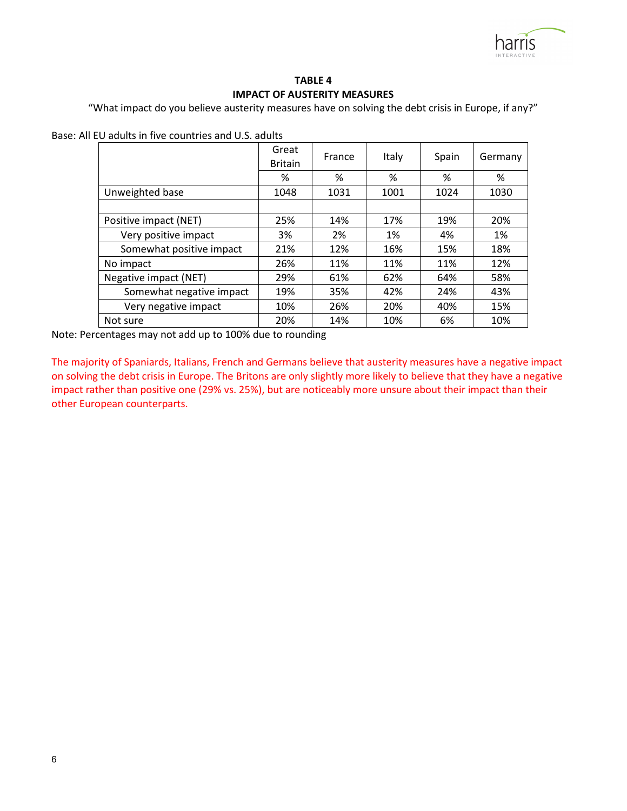

### **TABLE 4 IMPACT OF AUSTERITY MEASURES**

"What impact do you believe austerity measures have on solving the debt crisis in Europe, if any?"

Base: All EU adults in five countries and U.S. adults

|                          | Great<br><b>Britain</b> | France | Italy | Spain | Germany |
|--------------------------|-------------------------|--------|-------|-------|---------|
|                          | %                       | %      | %     | %     | %       |
| Unweighted base          | 1048                    | 1031   | 1001  | 1024  | 1030    |
|                          |                         |        |       |       |         |
| Positive impact (NET)    | 25%                     | 14%    | 17%   | 19%   | 20%     |
| Very positive impact     | 3%                      | 2%     | 1%    | 4%    | 1%      |
| Somewhat positive impact | 21%                     | 12%    | 16%   | 15%   | 18%     |
| No impact                | 26%                     | 11%    | 11%   | 11%   | 12%     |
| Negative impact (NET)    | 29%                     | 61%    | 62%   | 64%   | 58%     |
| Somewhat negative impact | 19%                     | 35%    | 42%   | 24%   | 43%     |
| Very negative impact     | 10%                     | 26%    | 20%   | 40%   | 15%     |
| Not sure                 | 20%                     | 14%    | 10%   | 6%    | 10%     |

Note: Percentages may not add up to 100% due to rounding

The majority of Spaniards, Italians, French and Germans believe that austerity measures have a negative impact on solving the debt crisis in Europe. The Britons are only slightly more likely to believe that they have a negative impact rather than positive one (29% vs. 25%), but are noticeably more unsure about their impact than their other European counterparts.